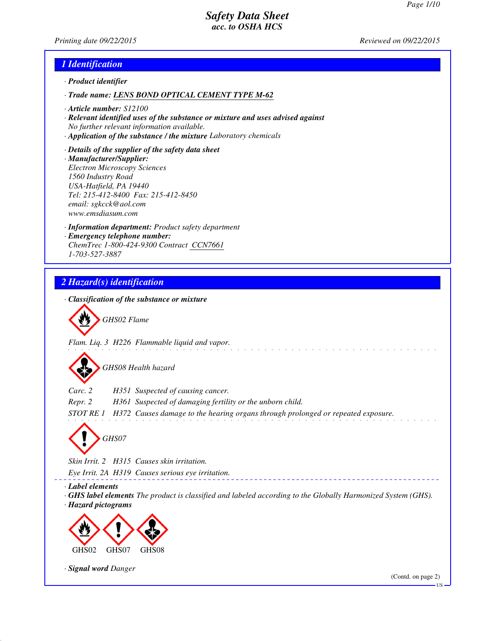*Printing date 09/22/2015 Reviewed on 09/22/2015*

### *1 Identification*

- *· Product identifier*
- *· Trade name: LENS BOND OPTICAL CEMENT TYPE M-62*
- *· Article number: S12100*
- *· Relevant identified uses of the substance or mixture and uses advised against No further relevant information available.*
- *· Application of the substance / the mixture Laboratory chemicals*
- *· Details of the supplier of the safety data sheet · Manufacturer/Supplier: Electron Microscopy Sciences 1560 Industry Road USA-Hatfield, PA 19440 Tel: 215-412-8400 Fax: 215-412-8450 email: sgkcck@aol.com www.emsdiasum.com*
- *· Information department: Product safety department · Emergency telephone number: ChemTrec 1-800-424-9300 Contract CCN7661 1-703-527-3887*

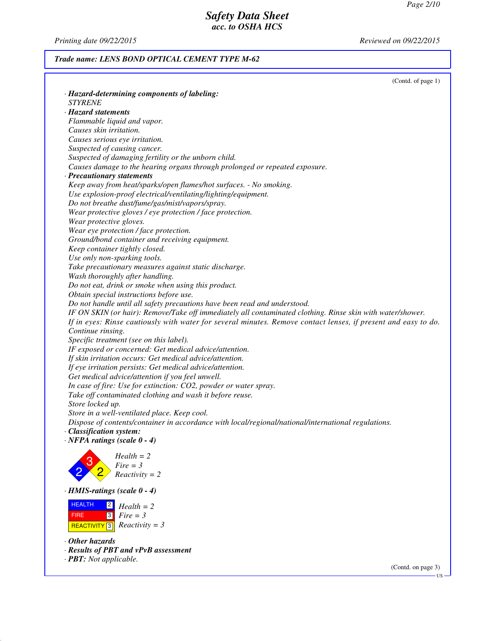*Printing date 09/22/2015 Reviewed on 09/22/2015*

## *Trade name: LENS BOND OPTICAL CEMENT TYPE M-62*

|                                                                                                                | (Contd. of page 1) |
|----------------------------------------------------------------------------------------------------------------|--------------------|
| · Hazard-determining components of labeling:                                                                   |                    |
| <b>STYRENE</b>                                                                                                 |                    |
| · Hazard statements                                                                                            |                    |
| Flammable liquid and vapor.                                                                                    |                    |
| Causes skin irritation.                                                                                        |                    |
| Causes serious eye irritation.                                                                                 |                    |
| Suspected of causing cancer.                                                                                   |                    |
| Suspected of damaging fertility or the unborn child.                                                           |                    |
| Causes damage to the hearing organs through prolonged or repeated exposure.                                    |                    |
| · Precautionary statements                                                                                     |                    |
| Keep away from heat/sparks/open flames/hot surfaces. - No smoking.                                             |                    |
| Use explosion-proof electrical/ventilating/lighting/equipment.                                                 |                    |
| Do not breathe dust/fume/gas/mist/vapors/spray.                                                                |                    |
| Wear protective gloves / eye protection / face protection.                                                     |                    |
| Wear protective gloves.                                                                                        |                    |
| Wear eye protection / face protection.                                                                         |                    |
| Ground/bond container and receiving equipment.                                                                 |                    |
| Keep container tightly closed.                                                                                 |                    |
| Use only non-sparking tools.                                                                                   |                    |
| Take precautionary measures against static discharge.                                                          |                    |
| Wash thoroughly after handling.                                                                                |                    |
| Do not eat, drink or smoke when using this product.                                                            |                    |
| Obtain special instructions before use.                                                                        |                    |
| Do not handle until all safety precautions have been read and understood.                                      |                    |
| IF ON SKIN (or hair): Remove/Take off immediately all contaminated clothing. Rinse skin with water/shower.     |                    |
| If in eyes: Rinse cautiously with water for several minutes. Remove contact lenses, if present and easy to do. |                    |
| Continue rinsing.                                                                                              |                    |
| Specific treatment (see on this label).                                                                        |                    |
| IF exposed or concerned: Get medical advice/attention.                                                         |                    |
| If skin irritation occurs: Get medical advice/attention.                                                       |                    |
| If eye irritation persists: Get medical advice/attention.                                                      |                    |
| Get medical advice/attention if you feel unwell.                                                               |                    |
| In case of fire: Use for extinction: CO2, powder or water spray.                                               |                    |
| Take off contaminated clothing and wash it before reuse.                                                       |                    |
| Store locked up.                                                                                               |                    |
| Store in a well-ventilated place. Keep cool.                                                                   |                    |
| Dispose of contents/container in accordance with local/regional/national/international regulations.            |                    |
| · Classification system:                                                                                       |                    |
| $\cdot$ NFPA ratings (scale $0 - 4$ )                                                                          |                    |
|                                                                                                                |                    |
| $Health = 2$<br>$Fire = 3$                                                                                     |                    |
| $Reactivity = 2$                                                                                               |                    |
|                                                                                                                |                    |
| $\cdot$ HMIS-ratings (scale 0 - 4)                                                                             |                    |
| <b>HEALTH</b><br> 2 <br>$Health = 2$                                                                           |                    |
| 3 <br>$Fire = 3$<br><b>FIRE</b>                                                                                |                    |
| $Reactivity = 3$<br><b>REACTIVITY</b> <sup>3</sup>                                                             |                    |
|                                                                                                                |                    |
| $\cdot$ Other hazards                                                                                          |                    |
| · Results of PBT and vPvB assessment                                                                           |                    |
| · <b>PBT</b> : Not applicable.                                                                                 |                    |

(Contd. on page 3)

US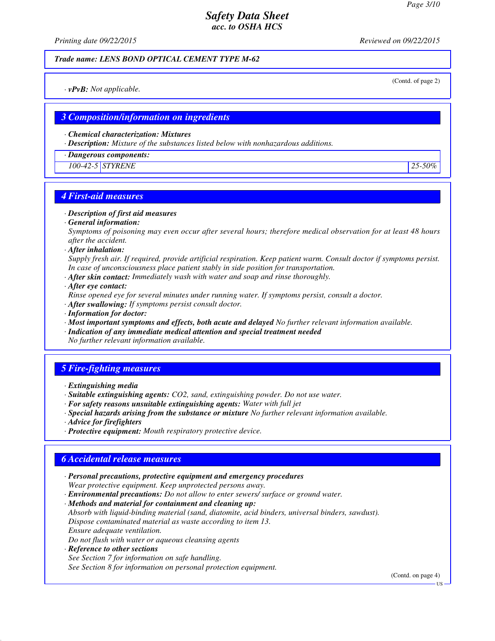*Printing date 09/22/2015 Reviewed on 09/22/2015*

#### *Trade name: LENS BOND OPTICAL CEMENT TYPE M-62*

(Contd. of page 2)

*· vPvB: Not applicable.*

### *3 Composition/information on ingredients*

*· Chemical characterization: Mixtures*

*· Description: Mixture of the substances listed below with nonhazardous additions.*

*· Dangerous components:*

*100-42-5 STYRENE 25-50%*

## *4 First-aid measures*

*· Description of first aid measures*

*· General information:*

*Symptoms of poisoning may even occur after several hours; therefore medical observation for at least 48 hours after the accident.*

*· After inhalation:*

*Supply fresh air. If required, provide artificial respiration. Keep patient warm. Consult doctor if symptoms persist. In case of unconsciousness place patient stably in side position for transportation.*

- *· After skin contact: Immediately wash with water and soap and rinse thoroughly.*
- *· After eye contact:*

*Rinse opened eye for several minutes under running water. If symptoms persist, consult a doctor.*

- *· After swallowing: If symptoms persist consult doctor.*
- *· Information for doctor:*
- *· Most important symptoms and effects, both acute and delayed No further relevant information available.*
- *· Indication of any immediate medical attention and special treatment needed*

*No further relevant information available.*

## *5 Fire-fighting measures*

- *· Extinguishing media*
- *· Suitable extinguishing agents: CO2, sand, extinguishing powder. Do not use water.*
- *· For safety reasons unsuitable extinguishing agents: Water with full jet*
- *· Special hazards arising from the substance or mixture No further relevant information available.*
- *· Advice for firefighters*
- *· Protective equipment: Mouth respiratory protective device.*

### *6 Accidental release measures*

- *· Personal precautions, protective equipment and emergency procedures Wear protective equipment. Keep unprotected persons away.*
- *· Environmental precautions: Do not allow to enter sewers/ surface or ground water.*

*· Methods and material for containment and cleaning up:*

- *Absorb with liquid-binding material (sand, diatomite, acid binders, universal binders, sawdust). Dispose contaminated material as waste according to item 13. Ensure adequate ventilation.*
- *Do not flush with water or aqueous cleansing agents*
- *· Reference to other sections See Section 7 for information on safe handling.*

*See Section 8 for information on personal protection equipment.*

(Contd. on page 4)

US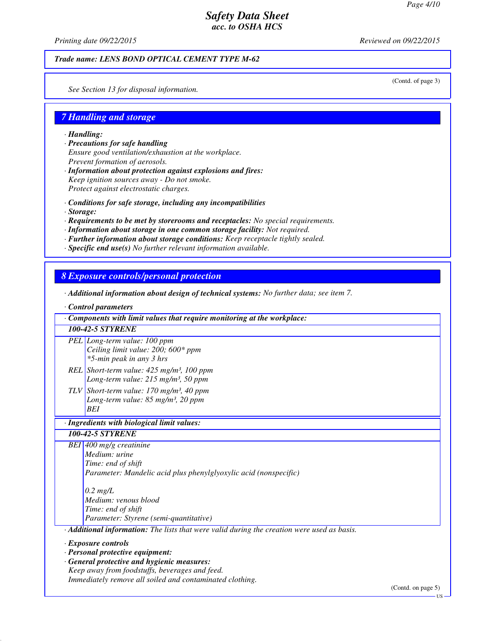*Printing date 09/22/2015 Reviewed on 09/22/2015*

### *Trade name: LENS BOND OPTICAL CEMENT TYPE M-62*

(Contd. of page 3)

*See Section 13 for disposal information.*

# *7 Handling and storage*

*· Handling:*

- *· Precautions for safe handling Ensure good ventilation/exhaustion at the workplace. Prevent formation of aerosols.*
- *· Information about protection against explosions and fires: Keep ignition sources away - Do not smoke. Protect against electrostatic charges.*
- *· Conditions for safe storage, including any incompatibilities*
- *· Storage:*
- *· Requirements to be met by storerooms and receptacles: No special requirements.*
- *· Information about storage in one common storage facility: Not required.*
- *· Further information about storage conditions: Keep receptacle tightly sealed.*
- *· Specific end use(s) No further relevant information available.*

### *8 Exposure controls/personal protection*

- *· Additional information about design of technical systems: No further data; see item 7.*
- *· Control parameters*

| Components with limit values that require monitoring at the workplace:                                                             |  |
|------------------------------------------------------------------------------------------------------------------------------------|--|
| <b>100-42-5 STYRENE</b>                                                                                                            |  |
| PEL Long-term value: 100 ppm<br>Ceiling limit value: 200; 600* ppm<br>*5-min peak in any 3 hrs                                     |  |
| REL Short-term value: $425$ mg/m <sup>3</sup> , 100 ppm<br>Long-term value: 215 mg/m <sup>3</sup> , 50 ppm                         |  |
| TLV Short-term value: $170 \text{ mg/m}^3$ , 40 ppm<br>Long-term value: $85$ mg/m <sup>3</sup> , 20 ppm<br><b>BEI</b>              |  |
| · Ingredients with biological limit values:                                                                                        |  |
| <b>100-42-5 STYRENE</b>                                                                                                            |  |
| BEI 400 mg/g creatinine<br>Medium: urine<br>Time: end of shift<br>Parameter: Mandelic acid plus phenylglyoxylic acid (nonspecific) |  |
| $0.2$ mg/L<br>Medium: venous blood<br>Time: end of shift<br>Parameter: Styrene (semi-quantitative)                                 |  |
| Additional information: The lists that were valid during the creation were used as basis.                                          |  |
| · Exposure controls<br>· Personal protective equipment:<br>· General protective and hygienic measures:                             |  |
| Keep away from foodstuffs, beverages and feed.<br>Immediately remove all soiled and contaminated clothing.                         |  |

(Contd. on page 5)

US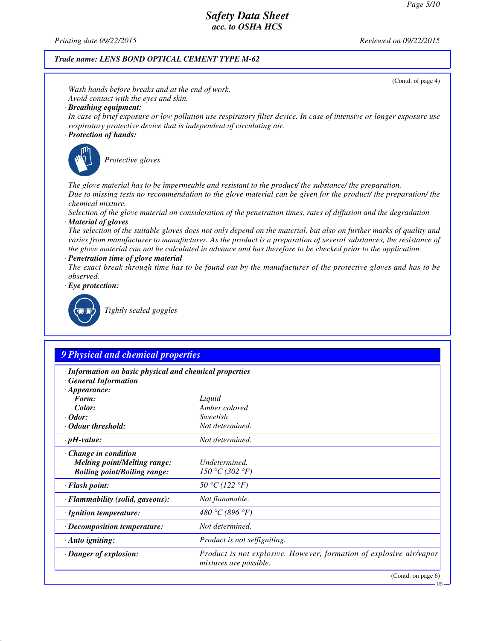*Printing date 09/22/2015 Reviewed on 09/22/2015*

#### *Trade name: LENS BOND OPTICAL CEMENT TYPE M-62*

*· Flammability (solid, gaseous): Not flammable. · Ignition temperature: 480 °C (896 °F) · Decomposition temperature: Not determined.*

*· Auto igniting: Product is not selfigniting.*



*· Danger of explosion: Product is not explosive. However, formation of explosive air/vapor*

*mixtures are possible.*

US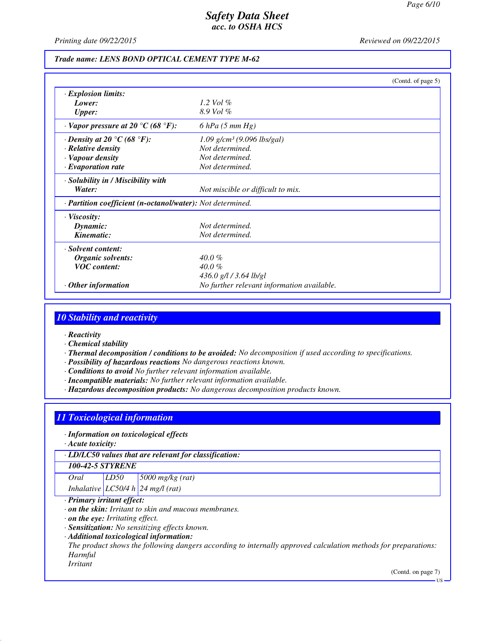*Printing date 09/22/2015 Reviewed on 09/22/2015*

#### *Trade name: LENS BOND OPTICAL CEMENT TYPE M-62*

|                                                                       | (Contd. of page $5$ )                      |
|-----------------------------------------------------------------------|--------------------------------------------|
| $\cdot$ Explosion limits:                                             |                                            |
| Lower:                                                                | 1.2 Vol $\%$                               |
| <b>Upper:</b>                                                         | $8.9$ Vol $%$                              |
| $\cdot$ Vapor pressure at 20 $\rm{^{\circ}C}$ (68 $\rm{^{\circ}F}$ ): | $6$ hPa $(5$ mm Hg)                        |
| $\cdot$ Density at 20 °C (68 °F):                                     | $1.09$ g/cm <sup>3</sup> (9.096 lbs/gal)   |
| $\cdot$ Relative density                                              | Not determined.                            |
| · Vapour density                                                      | Not determined.                            |
| $\cdot$ Evaporation rate                                              | Not determined.                            |
| · Solubility in / Miscibility with                                    |                                            |
| Water:                                                                | Not miscible or difficult to mix.          |
| · <b>Partition coefficient (n-octanol/water):</b> Not determined.     |                                            |
| $\cdot$ Viscosity:                                                    |                                            |
| Dynamic:                                                              | Not determined.                            |
| Kinematic:                                                            | Not determined.                            |
| · Solvent content:                                                    |                                            |
| Organic solvents:                                                     | $40.0\%$                                   |
| <b>VOC</b> content:                                                   | $40.0\%$                                   |
|                                                                       | 436.0 g/l / 3.64 lb/gl                     |
| $\cdot$ Other information                                             | No further relevant information available. |

## *10 Stability and reactivity*

- *· Reactivity*
- *· Chemical stability*
- *· Thermal decomposition / conditions to be avoided: No decomposition if used according to specifications.*
- *· Possibility of hazardous reactions No dangerous reactions known.*
- *· Conditions to avoid No further relevant information available.*
- *· Incompatible materials: No further relevant information available.*
- *· Hazardous decomposition products: No dangerous decomposition products known.*

### *11 Toxicological information*

#### *· Information on toxicological effects*

*· Acute toxicity:*

*· LD/LC50 values that are relevant for classification:*

### *100-42-5 STYRENE*

*Oral LD50 5000 mg/kg (rat) Inhalative LC50/4 h 24 mg/l (rat)*

### *· Primary irritant effect:*

- *· on the skin: Irritant to skin and mucous membranes.*
- *· on the eye: Irritating effect.*
- *· Sensitization: No sensitizing effects known.*
- *· Additional toxicological information:*

*The product shows the following dangers according to internally approved calculation methods for preparations: Harmful*

*Irritant*

(Contd. on page 7)

US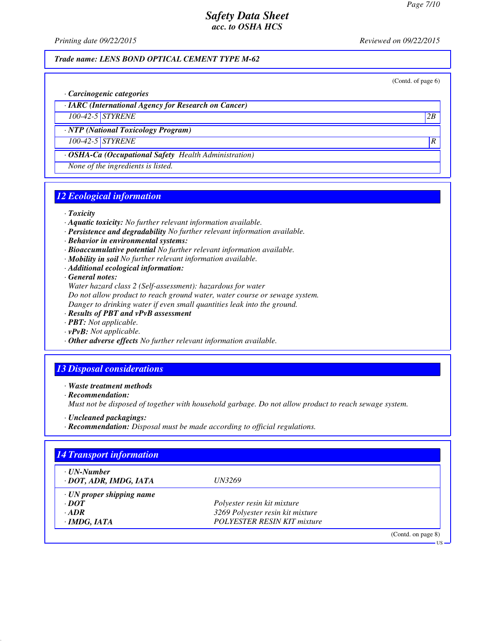*Printing date 09/22/2015 Reviewed on 09/22/2015*

#### *Trade name: LENS BOND OPTICAL CEMENT TYPE M-62*

(Contd. of page 6)

US

*· Carcinogenic categories*

*· IARC (International Agency for Research on Cancer)*

*100-42-5 STYRENE 2B*

*· NTP (National Toxicology Program)*

*100-42-5 STYRENE R* 

*· OSHA-Ca (Occupational Safety Health Administration)*

*None of the ingredients is listed.*

# *12 Ecological information*

#### *· Toxicity*

- *· Aquatic toxicity: No further relevant information available.*
- *· Persistence and degradability No further relevant information available.*
- *· Behavior in environmental systems:*
- *· Bioaccumulative potential No further relevant information available.*
- *· Mobility in soil No further relevant information available.*
- *· Additional ecological information:*

*· General notes:*

*Water hazard class 2 (Self-assessment): hazardous for water Do not allow product to reach ground water, water course or sewage system. Danger to drinking water if even small quantities leak into the ground.*

- *· Results of PBT and vPvB assessment*
- *· PBT: Not applicable.*
- *· vPvB: Not applicable.*
- *· Other adverse effects No further relevant information available.*

## *13 Disposal considerations*

*· Waste treatment methods*

*· Recommendation:*

*Must not be disposed of together with household garbage. Do not allow product to reach sewage system.*

- *· Uncleaned packagings:*
- *· Recommendation: Disposal must be made according to official regulations.*

| · UN-Number                     |                                    |  |
|---------------------------------|------------------------------------|--|
| · DOT, ADR, IMDG, IATA          | <i>UN3269</i>                      |  |
| $\cdot$ UN proper shipping name |                                    |  |
| $\cdot$ DOT                     | Polyester resin kit mixture        |  |
| $\cdot$ ADR                     | 3269 Polyester resin kit mixture   |  |
| $\cdot$ IMDG, IATA              | <b>POLYESTER RESIN KIT mixture</b> |  |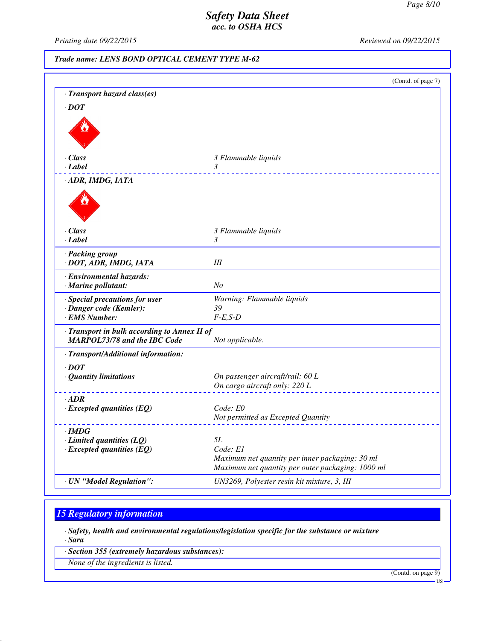*Printing date 09/22/2015 Reviewed on 09/22/2015*

*Trade name: LENS BOND OPTICAL CEMENT TYPE M-62*

|                                                 | (Contd. of page 7)                                                                                   |
|-------------------------------------------------|------------------------------------------------------------------------------------------------------|
| · Transport hazard class(es)                    |                                                                                                      |
| $\cdot$ DOT                                     |                                                                                                      |
|                                                 |                                                                                                      |
| · Class                                         | 3 Flammable liquids                                                                                  |
| · Label                                         | $\mathfrak{Z}$                                                                                       |
| · ADR, IMDG, IATA                               |                                                                                                      |
|                                                 |                                                                                                      |
| · Class                                         | 3 Flammable liquids                                                                                  |
| · Label                                         | 3                                                                                                    |
| · Packing group<br>· DOT, ADR, IMDG, IATA       | Ш                                                                                                    |
| · Environmental hazards:<br>· Marine pollutant: | No                                                                                                   |
| · Special precautions for user                  | Warning: Flammable liquids                                                                           |
| · Danger code (Kemler):                         | 39                                                                                                   |
| · EMS Number:                                   | $F-E, S-D$                                                                                           |
| · Transport in bulk according to Annex II of    |                                                                                                      |
| <b>MARPOL73/78 and the IBC Code</b>             | Not applicable.                                                                                      |
| · Transport/Additional information:             |                                                                                                      |
| $\cdot$ DOT                                     |                                                                                                      |
| · Quantity limitations                          | On passenger aircraft/rail: 60 L                                                                     |
|                                                 | On cargo aircraft only: 220 L                                                                        |
| $\cdot$ ADR                                     |                                                                                                      |
| $\cdot$ Excepted quantities (EQ)                | Code: E0                                                                                             |
|                                                 | Not permitted as Excepted Quantity                                                                   |
| · IMDG                                          |                                                                                                      |
| $\cdot$ Limited quantities (LQ)                 | 5L                                                                                                   |
| $\cdot$ Excepted quantities (EQ)                | Code: E1                                                                                             |
|                                                 | Maximum net quantity per inner packaging: 30 ml<br>Maximum net quantity per outer packaging: 1000 ml |
|                                                 |                                                                                                      |
| · UN "Model Regulation":                        | UN3269, Polyester resin kit mixture, 3, III                                                          |

# *15 Regulatory information*

*· Safety, health and environmental regulations/legislation specific for the substance or mixture*

*· Sara*

*· Section 355 (extremely hazardous substances):*

*None of the ingredients is listed.*

(Contd. on page 9)

US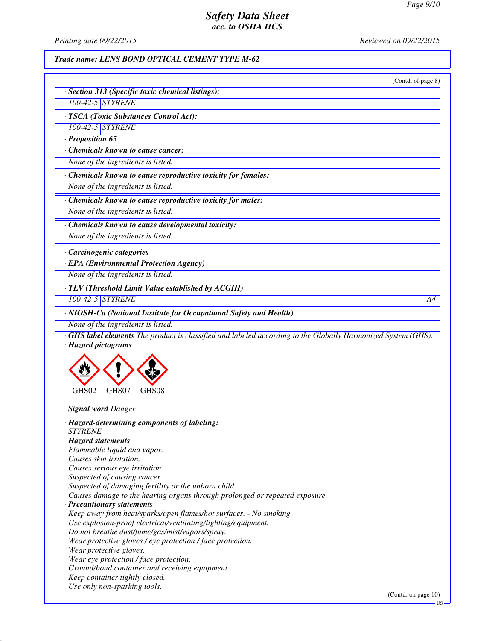*Printing date 09/22/2015 Reviewed on 09/22/2015*

### *Trade name: LENS BOND OPTICAL CEMENT TYPE M-62*

|                                                                                                                    | (Contd. of page 8) |
|--------------------------------------------------------------------------------------------------------------------|--------------------|
| · Section 313 (Specific toxic chemical listings):                                                                  |                    |
| 100-42-5 STYRENE                                                                                                   |                    |
| · TSCA (Toxic Substances Control Act):                                                                             |                    |
| 100-42-5 STYRENE                                                                                                   |                    |
| $\cdot$ Proposition 65                                                                                             |                    |
| Chemicals known to cause cancer:                                                                                   |                    |
| None of the ingredients is listed.                                                                                 |                    |
| Chemicals known to cause reproductive toxicity for females:                                                        |                    |
| None of the ingredients is listed.                                                                                 |                    |
| · Chemicals known to cause reproductive toxicity for males:                                                        |                    |
| None of the ingredients is listed.                                                                                 |                    |
| Chemicals known to cause developmental toxicity:                                                                   |                    |
| None of the ingredients is listed.                                                                                 |                    |
|                                                                                                                    |                    |
| · Carcinogenic categories                                                                                          |                    |
| · EPA (Environmental Protection Agency)                                                                            |                    |
| None of the ingredients is listed.                                                                                 |                    |
| · TLV (Threshold Limit Value established by ACGIH)                                                                 |                    |
| 100-42-5 STYRENE                                                                                                   | A4                 |
| · NIOSH-Ca (National Institute for Occupational Safety and Health)                                                 |                    |
| None of the ingredients is listed.                                                                                 |                    |
| <b>GHS label elements</b> The product is classified and labeled according to the Globally Harmonized System (GHS). |                    |
| · Hazard pictograms                                                                                                |                    |
|                                                                                                                    |                    |
|                                                                                                                    |                    |
|                                                                                                                    |                    |
| GHS02<br>GHS07<br>GHS08                                                                                            |                    |
| · Signal word Danger                                                                                               |                    |
|                                                                                                                    |                    |
| · Hazard-determining components of labeling:<br><b>STYRENE</b>                                                     |                    |
| · Hazard statements                                                                                                |                    |
| Flammable liquid and vapor.                                                                                        |                    |
| Causes skin irritation.                                                                                            |                    |
| Causes serious eye irritation.                                                                                     |                    |
| Suspected of causing cancer.                                                                                       |                    |
| Suspected of damaging fertility or the unborn child.                                                               |                    |
| Causes damage to the hearing organs through prolonged or repeated exposure.                                        |                    |
|                                                                                                                    |                    |
| · Precautionary statements                                                                                         |                    |
| Keep away from heat/sparks/open flames/hot surfaces. - No smoking.                                                 |                    |
| Use explosion-proof electrical/ventilating/lighting/equipment.                                                     |                    |
| Do not breathe dust/fume/gas/mist/vapors/spray.                                                                    |                    |
| Wear protective gloves / eye protection / face protection.                                                         |                    |
| Wear protective gloves.                                                                                            |                    |
| Wear eye protection / face protection.                                                                             |                    |

*Use only non-sparking tools.*